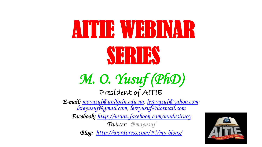## AITIE WEBINAR SERIES S *M. O. Yusuf (PhD)* President of AITIE *E-mail: [moyusuf@unilorin.edu.ng;](mailto:moyusuf@unilorin.edu.ng) [lereyusuf@yahoo.com;](mailto:lereyusuf@yahoo.com) [lereyusuf@gmail.com,](mailto:lereyusuf@gmail.com) [lereyusuf@hotmail.com](mailto:lereyusuf@hotmail.com) Facebook: <http://www.facebook.com/mudasiruoy> Twitter: @moyusuf Blog: [http://wordpress.com/#!/my-blogs/](http://wordpress.com/)*

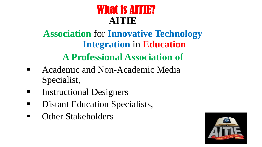### What is AITIE? **AITIE**

### **Association** for **Innovative Technology Integration** in **Education A Professional Association of**

- Academic and Non-Academic Media Specialist,
- **EXECUTE:** Instructional Designers
- Distant Education Specialists,
- Other Stakeholders

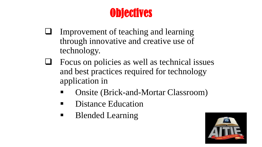## **Objectives**

- Improvement of teaching and learning through innovative and creative use of technology.
- Focus on policies as well as technical issues and best practices required for technology application in
	- Onsite (Brick-and-Mortar Classroom)
	- Distance Education
	- Blended Learning

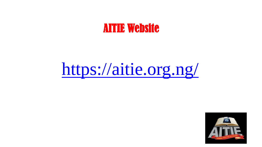### AITIE Website



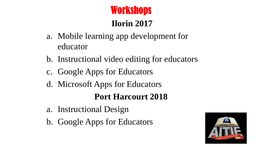

### **Ilorin 2017**

- a. Mobile learning app development for educator
- b. Instructional video editing for educators
- c. Google Apps for Educators
- d. Microsoft Apps for Educators

#### **Port Harcourt 2018**

- a. Instructional Design
- b. Google Apps for Educators

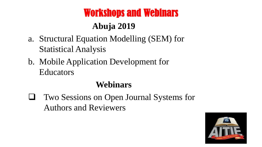# Workshops and Webinars

### **Abuja 2019**

- a. Structural Equation Modelling (SEM) for Statistical Analysis
- b. Mobile Application Development for Educators

### **Webinars**

❑ Two Sessions on Open Journal Systems for Authors and Reviewers

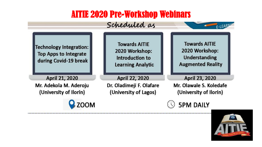#### AITIE 2020 Pre-Workshop Webinars

Scheduled as

**Technology Integration: Top Apps to Integrate** during Covid-19 break

April 21, 2020

Mr. Adekola M. Aderoju (University of Ilorin)

**ZOOM** 

**Towards AITIE** 2020 Workshop: Introduction to **Learning Analytic** 

April 22, 2020

Dr. Oladimeji F. Olafare (University of Lagos)

**Towards AITIE** 2020 Workshop: Understanding **Augmented Reality** 

E-LEARN

April 23, 2020

Mr. Olawale S. Koledafe (University of Ilorin)

**5PM DAILY** 

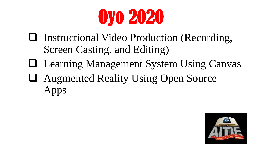

- ❑ Instructional Video Production (Recording, Screen Casting, and Editing)
- ❑ Learning Management System Using Canvas
- ❑ Augmented Reality Using Open Source Apps